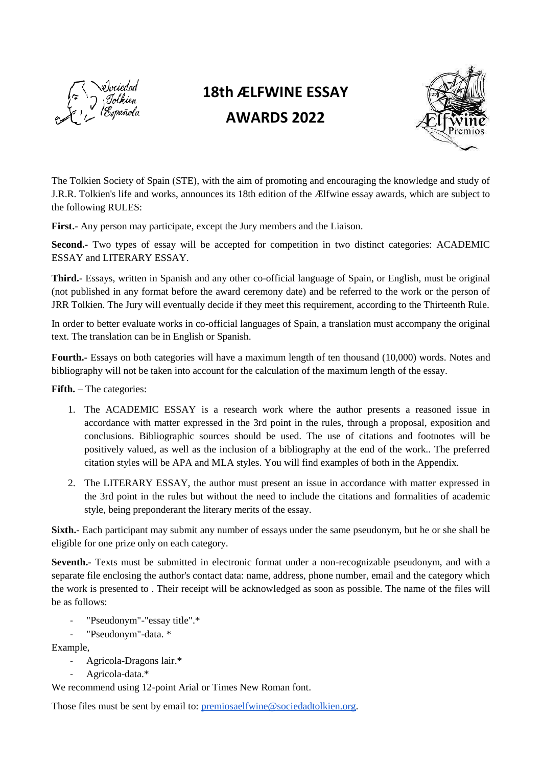

## **18th ÆLFWINE ESSAY AWARDS 2022**



The Tolkien Society of Spain (STE), with the aim of promoting and encouraging the knowledge and study of J.R.R. Tolkien's life and works, announces its 18th edition of the Ælfwine essay awards, which are subject to the following RULES:

**First.-** Any person may participate, except the Jury members and the Liaison.

Second.- Two types of essay will be accepted for competition in two distinct categories: ACADEMIC ESSAY and LITERARY ESSAY.

**Third.-** Essays, written in Spanish and any other co-official language of Spain, or English, must be original (not published in any format before the award ceremony date) and be referred to the work or the person of JRR Tolkien. The Jury will eventually decide if they meet this requirement, according to the Thirteenth Rule.

In order to better evaluate works in co-official languages of Spain, a translation must accompany the original text. The translation can be in English or Spanish.

**Fourth.-** Essays on both categories will have a maximum length of ten thousand (10,000) words. Notes and bibliography will not be taken into account for the calculation of the maximum length of the essay.

**Fifth. –** The categories:

- 1. The ACADEMIC ESSAY is a research work where the author presents a reasoned issue in accordance with matter expressed in the 3rd point in the rules, through a proposal, exposition and conclusions. Bibliographic sources should be used. The use of citations and footnotes will be positively valued, as well as the inclusion of a bibliography at the end of the work.. The preferred citation styles will be APA and MLA styles. You will find examples of both in the Appendix.
- 2. The LITERARY ESSAY, the author must present an issue in accordance with matter expressed in the 3rd point in the rules but without the need to include the citations and formalities of academic style, being preponderant the literary merits of the essay.

**Sixth.-** Each participant may submit any number of essays under the same pseudonym, but he or she shall be eligible for one prize only on each category.

**Seventh.-** Texts must be submitted in electronic format under a non-recognizable pseudonym, and with a separate file enclosing the author's contact data: name, address, phone number, email and the category which the work is presented to . Their receipt will be acknowledged as soon as possible. The name of the files will be as follows:

- "Pseudonym"-"essay title".\*
- "Pseudonym"-data. \*

Example,

- Agricola-Dragons lair.\*
- Agricola-data.\*

We recommend using 12-point Arial or Times New Roman font.

Those files must be sent by email to: [premiosaelfwine@sociedadtolkien.org.](mailto:premiosaelfwine@sociedadtolkien.org)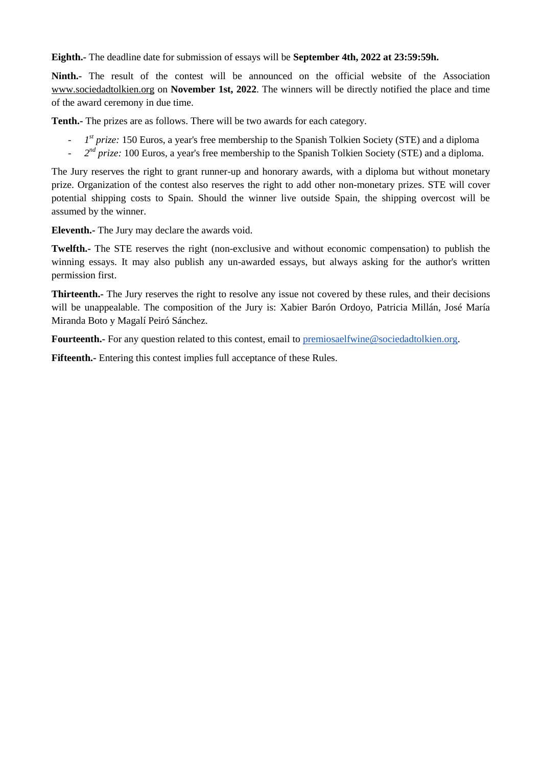**Eighth.-** The deadline date for submission of essays will be **September 4th, 2022 at 23:59:59h.**

**Ninth.-** The result of the contest will be announced on the official website of the Associatio[n](http://www.sociedadtolkien.org/) www.sociedadtolkien.org on **November 1st, 2022**. The winners will be directly notified the place and time of the award ceremony in due time.

**Tenth.-** The prizes are as follows. There will be two awards for each category.

- *1 st prize:* 150 Euros, a year's free membership to the Spanish Tolkien Society (STE) and a diploma
- <sup>2<sup>nd</sup> prize: 100 Euros, a year's free membership to the Spanish Tolkien Society (STE) and a diploma.</sup>

The Jury reserves the right to grant runner-up and honorary awards, with a diploma but without monetary prize. Organization of the contest also reserves the right to add other non-monetary prizes. STE will cover potential shipping costs to Spain. Should the winner live outside Spain, the shipping overcost will be assumed by the winner.

**Eleventh.-** The Jury may declare the awards void.

**Twelfth.-** The STE reserves the right (non-exclusive and without economic compensation) to publish the winning essays. It may also publish any un-awarded essays, but always asking for the author's written permission first.

**Thirteenth.-** The Jury reserves the right to resolve any issue not covered by these rules, and their decisions will be unappealable. The composition of the Jury is: Xabier Barón Ordoyo, Patricia Millán, José María Miranda Boto y Magalí Peiró Sánchez.

**Fourteenth.**- For any question related to this contest, email to [premiosaelfwine@sociedadtolkien.org.](mailto:premiosaelfwine@sociedadtolkien.org)

**Fifteenth.-** Entering this contest implies full acceptance of these Rules.